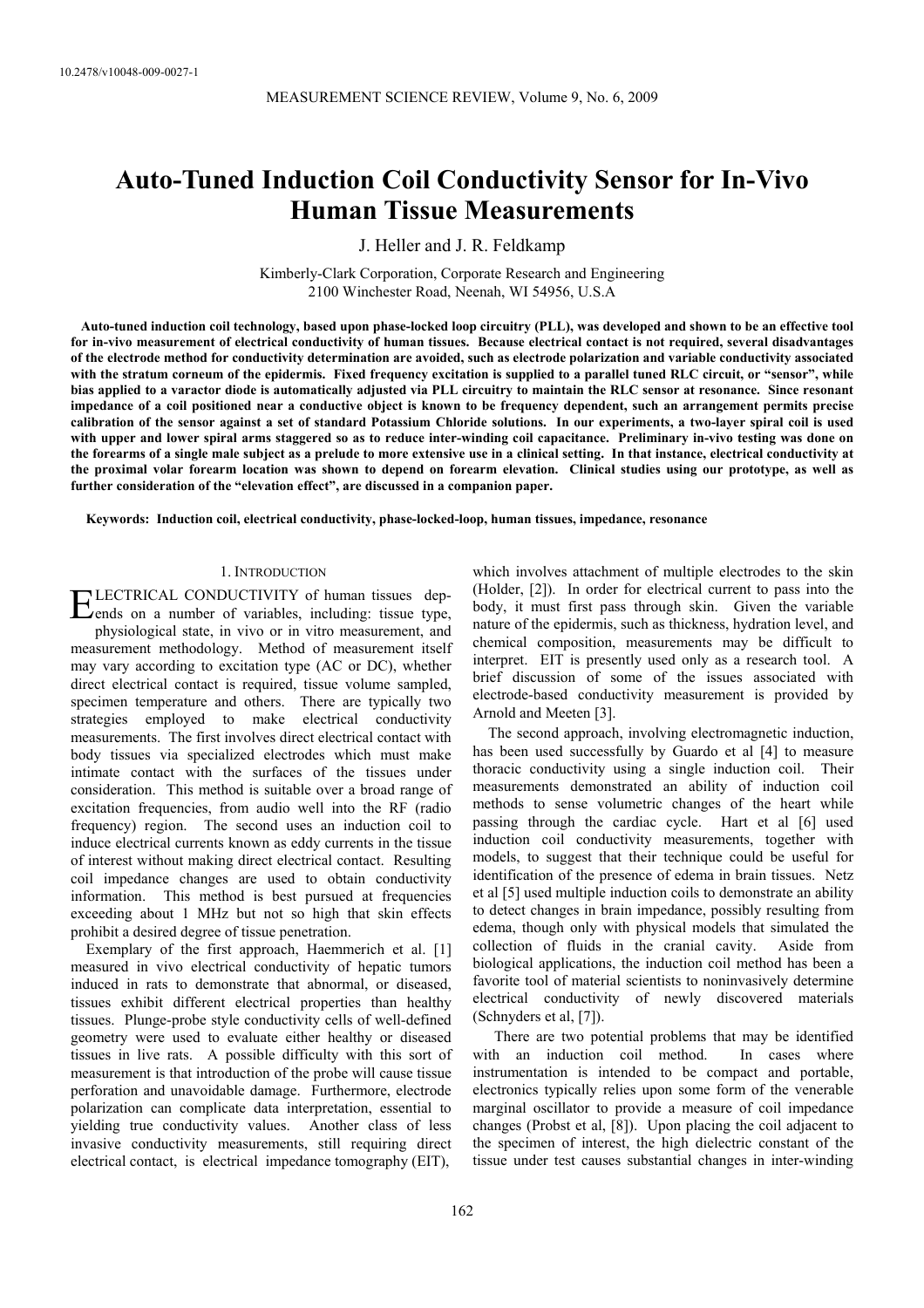# **Auto-Tuned Induction Coil Conductivity Sensor for In-Vivo Human Tissue Measurements**

J. Heller and J. R. Feldkamp

Kimberly-Clark Corporation, Corporate Research and Engineering 2100 Winchester Road, Neenah, WI 54956, U.S.A

 **Auto-tuned induction coil technology, based upon phase-locked loop circuitry (PLL), was developed and shown to be an effective tool for in-vivo measurement of electrical conductivity of human tissues. Because electrical contact is not required, several disadvantages of the electrode method for conductivity determination are avoided, such as electrode polarization and variable conductivity associated with the stratum corneum of the epidermis. Fixed frequency excitation is supplied to a parallel tuned RLC circuit, or "sensor", while bias applied to a varactor diode is automatically adjusted via PLL circuitry to maintain the RLC sensor at resonance. Since resonant impedance of a coil positioned near a conductive object is known to be frequency dependent, such an arrangement permits precise calibration of the sensor against a set of standard Potassium Chloride solutions. In our experiments, a two-layer spiral coil is used with upper and lower spiral arms staggered so as to reduce inter-winding coil capacitance. Preliminary in-vivo testing was done on the forearms of a single male subject as a prelude to more extensive use in a clinical setting. In that instance, electrical conductivity at the proximal volar forearm location was shown to depend on forearm elevation. Clinical studies using our prototype, as well as further consideration of the "elevation effect", are discussed in a companion paper.** 

**Keywords: Induction coil, electrical conductivity, phase-locked-loop, human tissues, impedance, resonance** 

## 1. INTRODUCTION

LECTRICAL CONDUCTIVITY of human tissues dep-ELECTRICAL CONDUCTIVITY of human tissues depends on a number of variables, including: tissue type, physiological state, in vivo or in vitro measurement, and measurement methodology. Method of measurement itself may vary according to excitation type (AC or DC), whether direct electrical contact is required, tissue volume sampled, specimen temperature and others. There are typically two strategies employed to make electrical conductivity measurements. The first involves direct electrical contact with body tissues via specialized electrodes which must make intimate contact with the surfaces of the tissues under consideration. This method is suitable over a broad range of excitation frequencies, from audio well into the RF (radio frequency) region. The second uses an induction coil to

induce electrical currents known as eddy currents in the tissue of interest without making direct electrical contact. Resulting coil impedance changes are used to obtain conductivity information. This method is best pursued at frequencies exceeding about 1 MHz but not so high that skin effects prohibit a desired degree of tissue penetration.

Exemplary of the first approach, Haemmerich et al. [1] measured in vivo electrical conductivity of hepatic tumors induced in rats to demonstrate that abnormal, or diseased, tissues exhibit different electrical properties than healthy tissues. Plunge-probe style conductivity cells of well-defined geometry were used to evaluate either healthy or diseased tissues in live rats. A possible difficulty with this sort of measurement is that introduction of the probe will cause tissue perforation and unavoidable damage. Furthermore, electrode polarization can complicate data interpretation, essential to yielding true conductivity values. Another class of less invasive conductivity measurements, still requiring direct electrical contact, is electrical impedance tomography (EIT),

which involves attachment of multiple electrodes to the skin (Holder, [2]). In order for electrical current to pass into the body, it must first pass through skin. Given the variable nature of the epidermis, such as thickness, hydration level, and chemical composition, measurements may be difficult to interpret. EIT is presently used only as a research tool. A brief discussion of some of the issues associated with electrode-based conductivity measurement is provided by Arnold and Meeten [3].

The second approach, involving electromagnetic induction, has been used successfully by Guardo et al [4] to measure thoracic conductivity using a single induction coil. Their measurements demonstrated an ability of induction coil methods to sense volumetric changes of the heart while passing through the cardiac cycle. Hart et al [6] used induction coil conductivity measurements, together with models, to suggest that their technique could be useful for identification of the presence of edema in brain tissues. Netz et al [5] used multiple induction coils to demonstrate an ability to detect changes in brain impedance, possibly resulting from edema, though only with physical models that simulated the collection of fluids in the cranial cavity. Aside from biological applications, the induction coil method has been a favorite tool of material scientists to noninvasively determine electrical conductivity of newly discovered materials (Schnyders et al, [7]).

There are two potential problems that may be identified with an induction coil method. In cases where instrumentation is intended to be compact and portable, electronics typically relies upon some form of the venerable marginal oscillator to provide a measure of coil impedance changes (Probst et al, [8]). Upon placing the coil adjacent to the specimen of interest, the high dielectric constant of the tissue under test causes substantial changes in inter-winding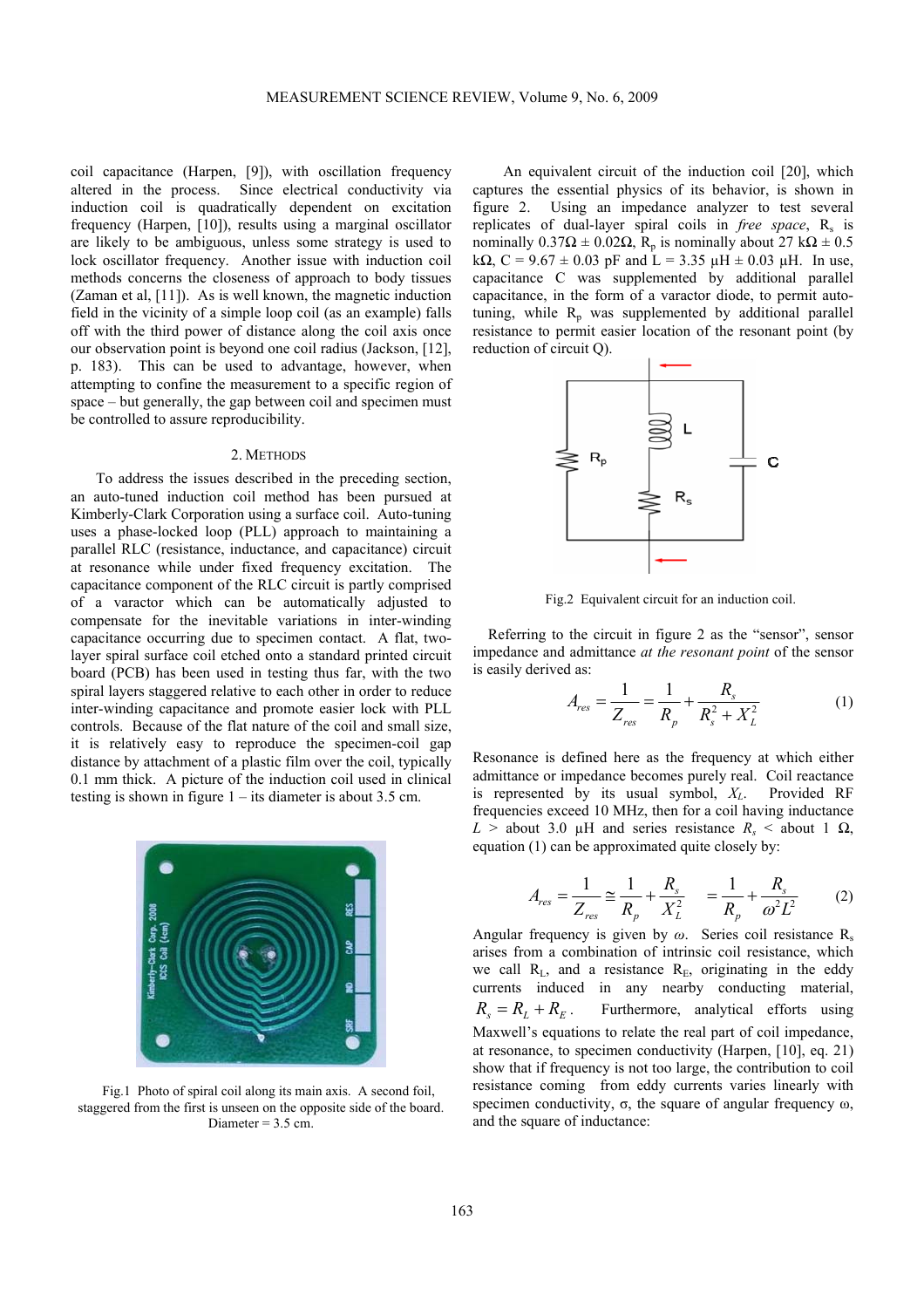coil capacitance (Harpen, [9]), with oscillation frequency altered in the process. Since electrical conductivity via induction coil is quadratically dependent on excitation frequency (Harpen, [10]), results using a marginal oscillator are likely to be ambiguous, unless some strategy is used to lock oscillator frequency. Another issue with induction coil methods concerns the closeness of approach to body tissues (Zaman et al, [11]). As is well known, the magnetic induction field in the vicinity of a simple loop coil (as an example) falls off with the third power of distance along the coil axis once our observation point is beyond one coil radius (Jackson, [12], p. 183). This can be used to advantage, however, when attempting to confine the measurement to a specific region of space – but generally, the gap between coil and specimen must be controlled to assure reproducibility.

#### 2. METHODS

 To address the issues described in the preceding section, an auto-tuned induction coil method has been pursued at Kimberly-Clark Corporation using a surface coil. Auto-tuning uses a phase-locked loop (PLL) approach to maintaining a parallel RLC (resistance, inductance, and capacitance) circuit at resonance while under fixed frequency excitation. The capacitance component of the RLC circuit is partly comprised of a varactor which can be automatically adjusted to compensate for the inevitable variations in inter-winding capacitance occurring due to specimen contact. A flat, twolayer spiral surface coil etched onto a standard printed circuit board (PCB) has been used in testing thus far, with the two spiral layers staggered relative to each other in order to reduce inter-winding capacitance and promote easier lock with PLL controls. Because of the flat nature of the coil and small size, it is relatively easy to reproduce the specimen-coil gap distance by attachment of a plastic film over the coil, typically 0.1 mm thick. A picture of the induction coil used in clinical testing is shown in figure  $1 -$  its diameter is about 3.5 cm.



Fig.1 Photo of spiral coil along its main axis. A second foil, staggered from the first is unseen on the opposite side of the board. Diameter  $= 3.5$  cm.

 An equivalent circuit of the induction coil [20], which captures the essential physics of its behavior, is shown in figure 2. Using an impedance analyzer to test several replicates of dual-layer spiral coils in *free space*, R<sub>s</sub> is nominally  $0.37\Omega \pm 0.02\Omega$ , R<sub>p</sub> is nominally about  $27 \text{ k}\Omega \pm 0.5$ k $\Omega$ , C = 9.67 ± 0.03 pF and L = 3.35  $\mu$ H ± 0.03  $\mu$ H. In use, capacitance C was supplemented by additional parallel capacitance, in the form of a varactor diode, to permit autotuning, while  $R_p$  was supplemented by additional parallel resistance to permit easier location of the resonant point (by reduction of circuit Q).



Fig.2 Equivalent circuit for an induction coil.

Referring to the circuit in figure 2 as the "sensor", sensor impedance and admittance *at the resonant point* of the sensor is easily derived as:

$$
A_{res} = \frac{1}{Z_{res}} = \frac{1}{R_p} + \frac{R_s}{R_s^2 + X_L^2}
$$
 (1)

Resonance is defined here as the frequency at which either admittance or impedance becomes purely real. Coil reactance is represented by its usual symbol,  $X_L$ . Provided RF frequencies exceed 10 MHz, then for a coil having inductance *L* > about 3.0 μH and series resistance  $R_s$  < about 1 Ω, equation (1) can be approximated quite closely by:

$$
A_{res} = \frac{1}{Z_{res}} \approx \frac{1}{R_p} + \frac{R_s}{X_L^2} = \frac{1}{R_p} + \frac{R_s}{\omega^2 L^2}
$$
 (2)

Angular frequency is given by *ω*. Series coil resistance R<sub>s</sub> arises from a combination of intrinsic coil resistance, which we call  $R_L$ , and a resistance  $R_E$ , originating in the eddy currents induced in any nearby conducting material,  $R_s = R_L + R_E$ . Furthermore, analytical efforts using Maxwell's equations to relate the real part of coil impedance, at resonance, to specimen conductivity (Harpen, [10], eq. 21) show that if frequency is not too large, the contribution to coil resistance coming from eddy currents varies linearly with specimen conductivity,  $\sigma$ , the square of angular frequency ω, and the square of inductance: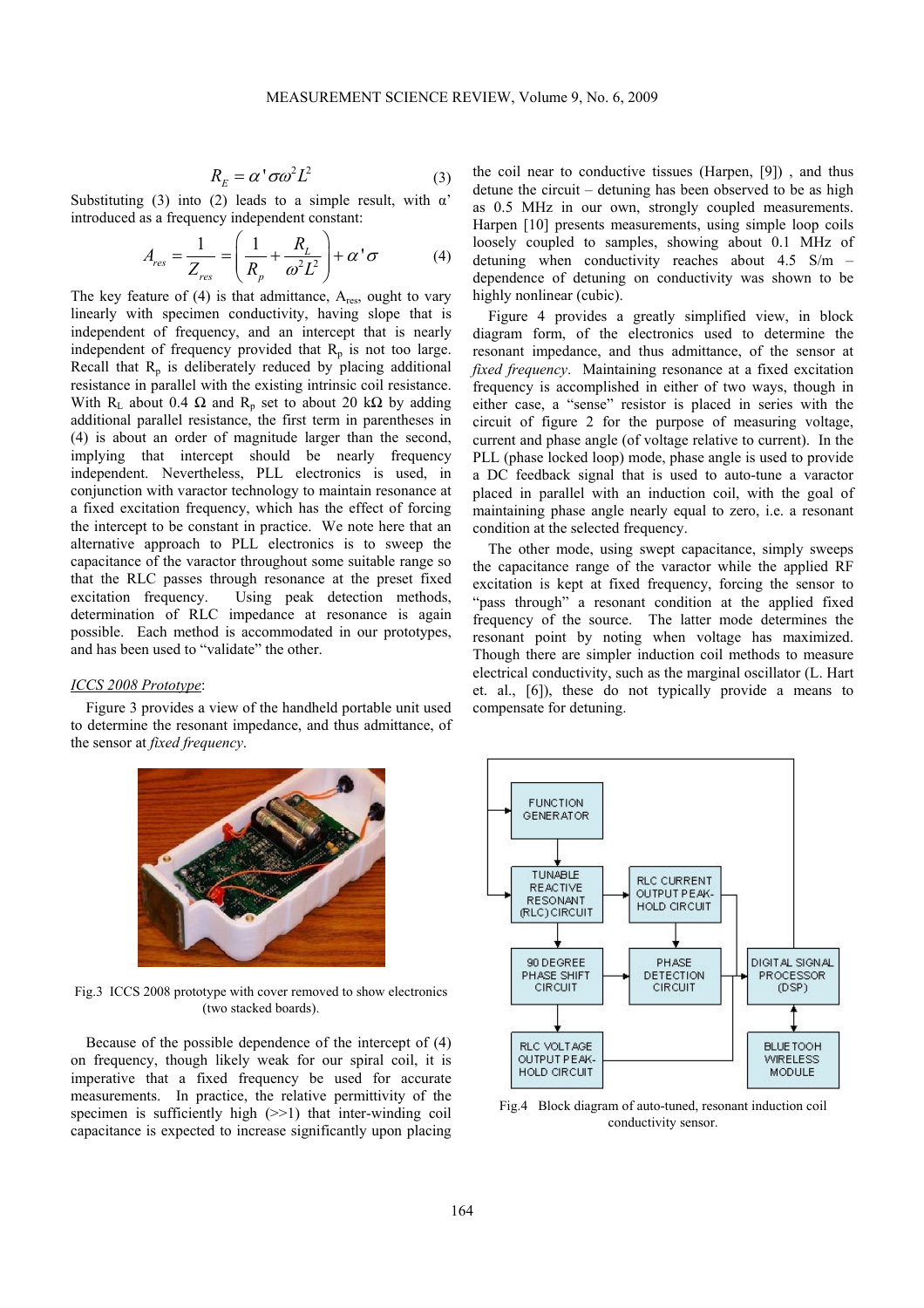$$
R_E = \alpha' \sigma \omega^2 L^2 \tag{3}
$$

Substituting (3) into (2) leads to a simple result, with  $\alpha$ introduced as a frequency independent constant:

$$
A_{res} = \frac{1}{Z_{res}} = \left(\frac{1}{R_p} + \frac{R_L}{\omega^2 L^2}\right) + \alpha' \sigma \tag{4}
$$

The key feature of  $(4)$  is that admittance,  $A_{res}$ , ought to vary linearly with specimen conductivity, having slope that is independent of frequency, and an intercept that is nearly independent of frequency provided that  $R_p$  is not too large. Recall that  $R_p$  is deliberately reduced by placing additional resistance in parallel with the existing intrinsic coil resistance. With R<sub>L</sub> about 0.4  $\Omega$  and R<sub>p</sub> set to about 20 k $\Omega$  by adding additional parallel resistance, the first term in parentheses in (4) is about an order of magnitude larger than the second, implying that intercept should be nearly frequency independent. Nevertheless, PLL electronics is used, in conjunction with varactor technology to maintain resonance at a fixed excitation frequency, which has the effect of forcing the intercept to be constant in practice. We note here that an alternative approach to PLL electronics is to sweep the capacitance of the varactor throughout some suitable range so that the RLC passes through resonance at the preset fixed excitation frequency. Using peak detection methods, determination of RLC impedance at resonance is again possible. Each method is accommodated in our prototypes, and has been used to "validate" the other.

#### *ICCS 2008 Prototype*:

Figure 3 provides a view of the handheld portable unit used to determine the resonant impedance, and thus admittance, of the sensor at *fixed frequency*.

the coil near to conductive tissues (Harpen, [9]) , and thus detune the circuit – detuning has been observed to be as high as 0.5 MHz in our own, strongly coupled measurements. Harpen [10] presents measurements, using simple loop coils loosely coupled to samples, showing about 0.1 MHz of detuning when conductivity reaches about 4.5 S/m – dependence of detuning on conductivity was shown to be highly nonlinear (cubic).

Figure 4 provides a greatly simplified view, in block diagram form, of the electronics used to determine the resonant impedance, and thus admittance, of the sensor at *fixed frequency.* Maintaining resonance at a fixed excitation frequency is accomplished in either of two ways, though in either case, a "sense" resistor is placed in series with the circuit of figure 2 for the purpose of measuring voltage, current and phase angle (of voltage relative to current). In the PLL (phase locked loop) mode, phase angle is used to provide a DC feedback signal that is used to auto-tune a varactor placed in parallel with an induction coil, with the goal of maintaining phase angle nearly equal to zero, i.e. a resonant condition at the selected frequency.

The other mode, using swept capacitance, simply sweeps the capacitance range of the varactor while the applied RF excitation is kept at fixed frequency, forcing the sensor to "pass through" a resonant condition at the applied fixed frequency of the source. The latter mode determines the resonant point by noting when voltage has maximized. Though there are simpler induction coil methods to measure electrical conductivity, such as the marginal oscillator (L. Hart et. al., [6]), these do not typically provide a means to compensate for detuning.



Fig.3 ICCS 2008 prototype with cover removed to show electronics (two stacked boards).

Because of the possible dependence of the intercept of (4) on frequency, though likely weak for our spiral coil, it is imperative that a fixed frequency be used for accurate measurements. In practice, the relative permittivity of the specimen is sufficiently high ( $>>1$ ) that inter-winding coil capacitance is expected to increase significantly upon placing



Fig.4 Block diagram of auto-tuned, resonant induction coil conductivity sensor.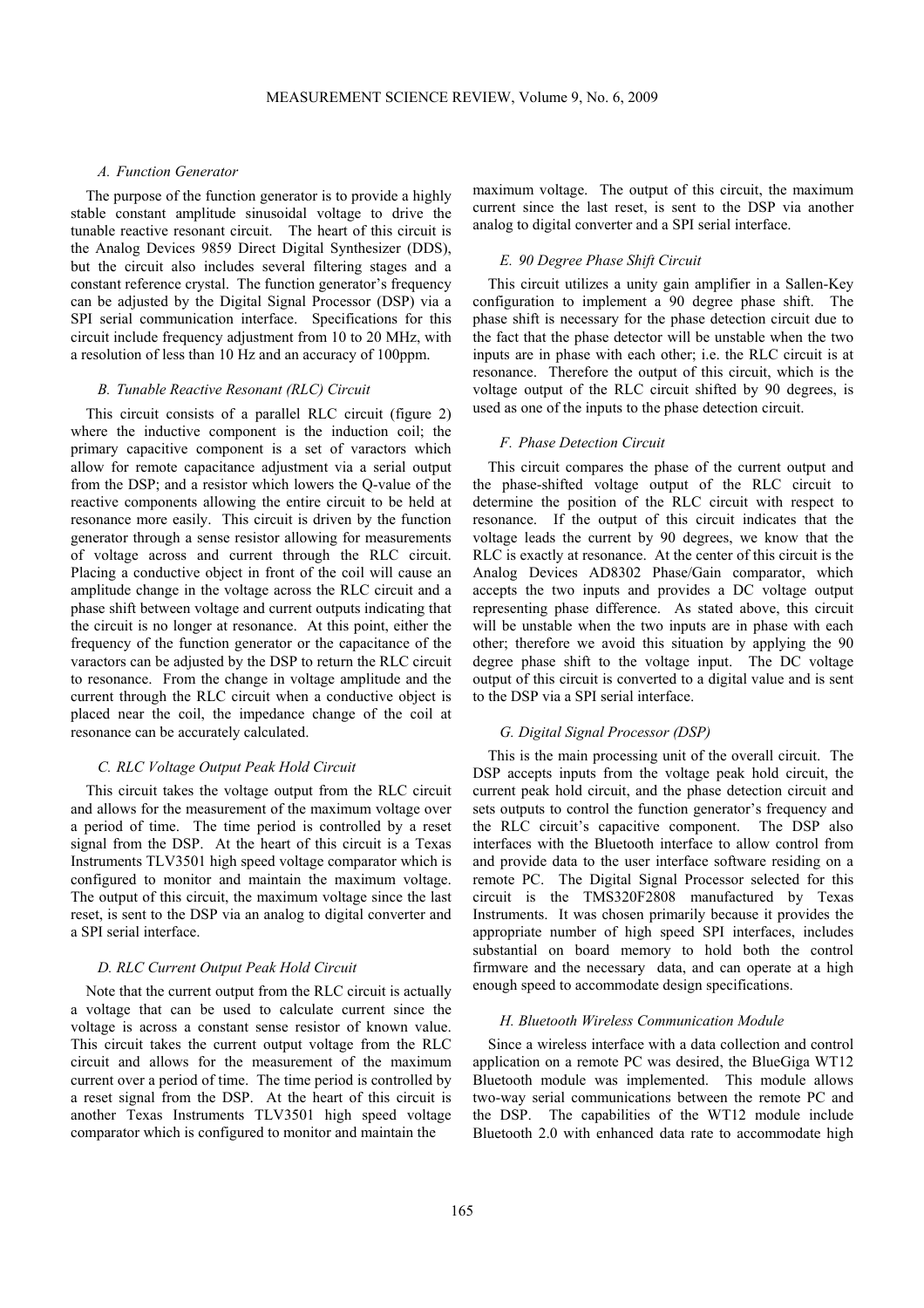#### *A. Function Generator*

The purpose of the function generator is to provide a highly stable constant amplitude sinusoidal voltage to drive the tunable reactive resonant circuit. The heart of this circuit is the Analog Devices 9859 Direct Digital Synthesizer (DDS), but the circuit also includes several filtering stages and a constant reference crystal. The function generator's frequency can be adjusted by the Digital Signal Processor (DSP) via a SPI serial communication interface. Specifications for this circuit include frequency adjustment from 10 to 20 MHz, with a resolution of less than 10 Hz and an accuracy of 100ppm.

## *B. Tunable Reactive Resonant (RLC) Circuit*

This circuit consists of a parallel RLC circuit (figure 2) where the inductive component is the induction coil; the primary capacitive component is a set of varactors which allow for remote capacitance adjustment via a serial output from the DSP; and a resistor which lowers the Q-value of the reactive components allowing the entire circuit to be held at resonance more easily. This circuit is driven by the function generator through a sense resistor allowing for measurements of voltage across and current through the RLC circuit. Placing a conductive object in front of the coil will cause an amplitude change in the voltage across the RLC circuit and a phase shift between voltage and current outputs indicating that the circuit is no longer at resonance. At this point, either the frequency of the function generator or the capacitance of the varactors can be adjusted by the DSP to return the RLC circuit to resonance. From the change in voltage amplitude and the current through the RLC circuit when a conductive object is placed near the coil, the impedance change of the coil at resonance can be accurately calculated.

## *C. RLC Voltage Output Peak Hold Circuit*

This circuit takes the voltage output from the RLC circuit and allows for the measurement of the maximum voltage over a period of time. The time period is controlled by a reset signal from the DSP. At the heart of this circuit is a Texas Instruments TLV3501 high speed voltage comparator which is configured to monitor and maintain the maximum voltage. The output of this circuit, the maximum voltage since the last reset, is sent to the DSP via an analog to digital converter and a SPI serial interface.

## *D. RLC Current Output Peak Hold Circuit*

Note that the current output from the RLC circuit is actually a voltage that can be used to calculate current since the voltage is across a constant sense resistor of known value. This circuit takes the current output voltage from the RLC circuit and allows for the measurement of the maximum current over a period of time. The time period is controlled by a reset signal from the DSP. At the heart of this circuit is another Texas Instruments TLV3501 high speed voltage comparator which is configured to monitor and maintain the

maximum voltage. The output of this circuit, the maximum current since the last reset, is sent to the DSP via another analog to digital converter and a SPI serial interface.

## *E. 90 Degree Phase Shift Circuit*

This circuit utilizes a unity gain amplifier in a Sallen-Key configuration to implement a 90 degree phase shift. The phase shift is necessary for the phase detection circuit due to the fact that the phase detector will be unstable when the two inputs are in phase with each other; i.e. the RLC circuit is at resonance. Therefore the output of this circuit, which is the voltage output of the RLC circuit shifted by 90 degrees, is used as one of the inputs to the phase detection circuit.

#### *F. Phase Detection Circuit*

This circuit compares the phase of the current output and the phase-shifted voltage output of the RLC circuit to determine the position of the RLC circuit with respect to resonance. If the output of this circuit indicates that the voltage leads the current by 90 degrees, we know that the RLC is exactly at resonance. At the center of this circuit is the Analog Devices AD8302 Phase/Gain comparator, which accepts the two inputs and provides a DC voltage output representing phase difference. As stated above, this circuit will be unstable when the two inputs are in phase with each other; therefore we avoid this situation by applying the 90 degree phase shift to the voltage input. The DC voltage output of this circuit is converted to a digital value and is sent to the DSP via a SPI serial interface.

## *G. Digital Signal Processor (DSP)*

This is the main processing unit of the overall circuit. The DSP accepts inputs from the voltage peak hold circuit, the current peak hold circuit, and the phase detection circuit and sets outputs to control the function generator's frequency and the RLC circuit's capacitive component. The DSP also interfaces with the Bluetooth interface to allow control from and provide data to the user interface software residing on a remote PC. The Digital Signal Processor selected for this circuit is the TMS320F2808 manufactured by Texas Instruments. It was chosen primarily because it provides the appropriate number of high speed SPI interfaces, includes substantial on board memory to hold both the control firmware and the necessary data, and can operate at a high enough speed to accommodate design specifications.

#### *H. Bluetooth Wireless Communication Module*

Since a wireless interface with a data collection and control application on a remote PC was desired, the BlueGiga WT12 Bluetooth module was implemented. This module allows two-way serial communications between the remote PC and the DSP. The capabilities of the WT12 module include Bluetooth 2.0 with enhanced data rate to accommodate high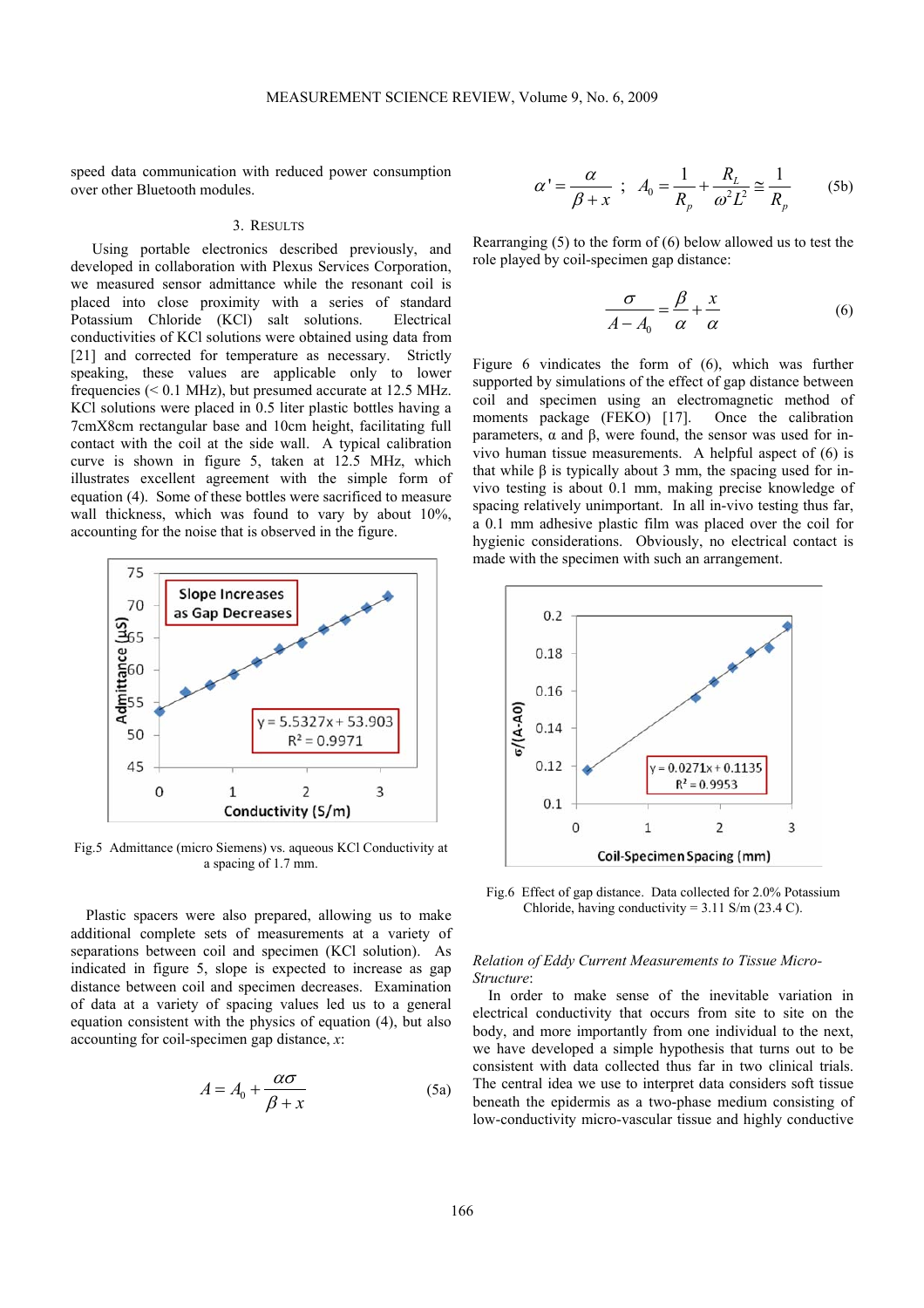speed data communication with reduced power consumption over other Bluetooth modules.

#### 3. RESULTS

Using portable electronics described previously, and developed in collaboration with Plexus Services Corporation we measured sensor admittance while the resonant coil is placed into close proximity with a series of standard Potassium Chloride (KCl) salt solutions. Electrical conductivities of KCl solutions were obtained using data from [21] and corrected for temperature as necessary. Strictly speaking, these values are applicable only to lower frequencies (< 0.1 MHz), but presumed accurate at 12.5 MHz. KCl solutions were placed in 0.5 liter plastic bottles having a 7cmX8cm rectangular base and 10cm height, facilitating full contact with the coil at the side wall. A typical calibration curve is shown in figure 5, taken at 12.5 MHz, which illustrates excellent agreement with the simple form of equation (4). Some of these bottles were sacrificed to measure wall thickness, which was found to vary by about 10%, accounting for the noise that is observed in the figure.



Fig.5 Admittance (micro Siemens) vs. aqueous KCl Conductivity at a spacing of 1.7 mm.

Plastic spacers were also prepared, allowing us to make additional complete sets of measurements at a variety of separations between coil and specimen (KCl solution). As indicated in figure 5, slope is expected to increase as gap distance between coil and specimen decreases. Examination of data at a variety of spacing values led us to a general equation consistent with the physics of equation (4), but also accounting for coil-specimen gap distance, *x*:

$$
A = A_0 + \frac{\alpha \sigma}{\beta + x} \tag{5a}
$$

$$
\alpha' = \frac{\alpha}{\beta + x} \; ; \; A_0 = \frac{1}{R_p} + \frac{R_L}{\omega^2 L^2} \approx \frac{1}{R_p} \qquad \text{(5b)}
$$

Rearranging (5) to the form of (6) below allowed us to test the role played by coil-specimen gap distance:

$$
\frac{\sigma}{A - A_0} = \frac{\beta}{\alpha} + \frac{x}{\alpha} \tag{6}
$$

Figure 6 vindicates the form of (6), which was further supported by simulations of the effect of gap distance between coil and specimen using an electromagnetic method of moments package (FEKO) [17]. Once the calibration parameters, α and β, were found, the sensor was used for invivo human tissue measurements. A helpful aspect of (6) is that while β is typically about 3 mm, the spacing used for invivo testing is about 0.1 mm, making precise knowledge of spacing relatively unimportant. In all in-vivo testing thus far, a 0.1 mm adhesive plastic film was placed over the coil for hygienic considerations. Obviously, no electrical contact is made with the specimen with such an arrangement.



Fig.6 Effect of gap distance. Data collected for 2.0% Potassium Chloride, having conductivity =  $3.11$  S/m (23.4 C).

## *Relation of Eddy Current Measurements to Tissue Micro-Structure*:

In order to make sense of the inevitable variation in electrical conductivity that occurs from site to site on the body, and more importantly from one individual to the next, we have developed a simple hypothesis that turns out to be consistent with data collected thus far in two clinical trials. The central idea we use to interpret data considers soft tissue beneath the epidermis as a two-phase medium consisting of low-conductivity micro-vascular tissue and highly conductive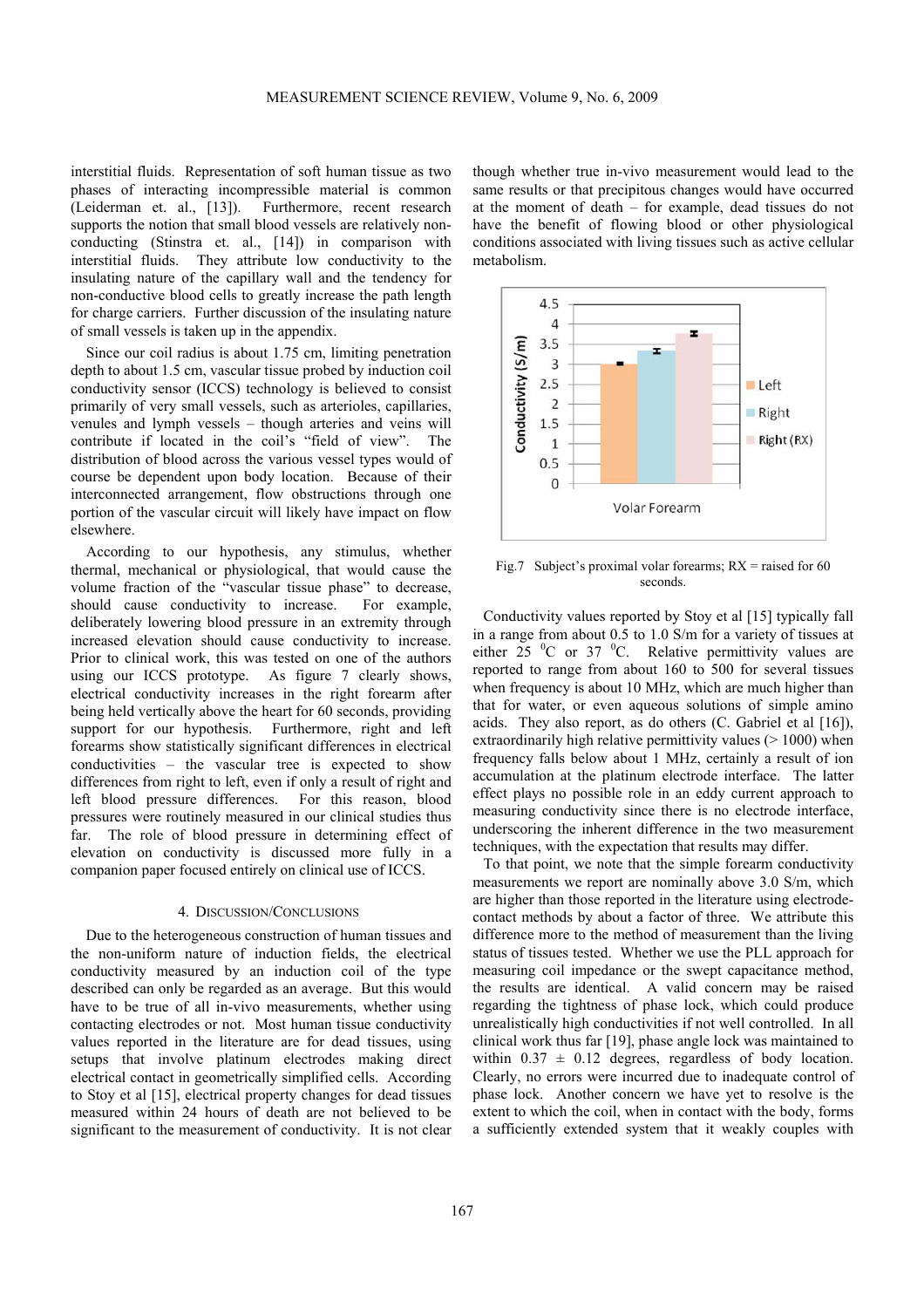interstitial fluids. Representation of soft human tissue as two phases of interacting incompressible material is common (Leiderman et. al., [13]). Furthermore, recent research supports the notion that small blood vessels are relatively nonconducting (Stinstra et. al., [14]) in comparison with interstitial fluids. They attribute low conductivity to the insulating nature of the capillary wall and the tendency for non-conductive blood cells to greatly increase the path length for charge carriers. Further discussion of the insulating nature of small vessels is taken up in the appendix.

Since our coil radius is about 1.75 cm, limiting penetration depth to about 1.5 cm, vascular tissue probed by induction coil conductivity sensor (ICCS) technology is believed to consist primarily of very small vessels, such as arterioles, capillaries, venules and lymph vessels – though arteries and veins will contribute if located in the coil's "field of view". The distribution of blood across the various vessel types would of course be dependent upon body location. Because of their interconnected arrangement, flow obstructions through one portion of the vascular circuit will likely have impact on flow elsewhere.

According to our hypothesis, any stimulus, whether thermal, mechanical or physiological, that would cause the volume fraction of the "vascular tissue phase" to decrease, should cause conductivity to increase. For example, deliberately lowering blood pressure in an extremity through increased elevation should cause conductivity to increase. Prior to clinical work, this was tested on one of the authors using our ICCS prototype. As figure 7 clearly shows, electrical conductivity increases in the right forearm after being held vertically above the heart for 60 seconds, providing support for our hypothesis. Furthermore, right and left forearms show statistically significant differences in electrical conductivities – the vascular tree is expected to show differences from right to left, even if only a result of right and left blood pressure differences. For this reason, blood pressures were routinely measured in our clinical studies thus far. The role of blood pressure in determining effect of elevation on conductivity is discussed more fully in a companion paper focused entirely on clinical use of ICCS.

#### 4. DISCUSSION/CONCLUSIONS

Due to the heterogeneous construction of human tissues and the non-uniform nature of induction fields, the electrical conductivity measured by an induction coil of the type described can only be regarded as an average. But this would have to be true of all in-vivo measurements, whether using contacting electrodes or not. Most human tissue conductivity values reported in the literature are for dead tissues, using setups that involve platinum electrodes making direct electrical contact in geometrically simplified cells. According to Stoy et al [15], electrical property changes for dead tissues measured within 24 hours of death are not believed to be significant to the measurement of conductivity. It is not clear

though whether true in-vivo measurement would lead to the same results or that precipitous changes would have occurred at the moment of death – for example, dead tissues do not have the benefit of flowing blood or other physiological conditions associated with living tissues such as active cellular metabolism.



Fig.7 Subject's proximal volar forearms;  $RX = raised$  for 60 seconds.

Conductivity values reported by Stoy et al [15] typically fall in a range from about 0.5 to 1.0 S/m for a variety of tissues at either 25  $\mathrm{^0C}$  or 37  $\mathrm{^0C}$ . Relative permittivity values are reported to range from about 160 to 500 for several tissues when frequency is about 10 MHz, which are much higher than that for water, or even aqueous solutions of simple amino acids. They also report, as do others (C. Gabriel et al [16]), extraordinarily high relative permittivity values  $(> 1000)$  when frequency falls below about 1 MHz, certainly a result of ion accumulation at the platinum electrode interface. The latter effect plays no possible role in an eddy current approach to measuring conductivity since there is no electrode interface, underscoring the inherent difference in the two measurement techniques, with the expectation that results may differ.

To that point, we note that the simple forearm conductivity measurements we report are nominally above 3.0 S/m, which are higher than those reported in the literature using electrodecontact methods by about a factor of three. We attribute this difference more to the method of measurement than the living status of tissues tested. Whether we use the PLL approach for measuring coil impedance or the swept capacitance method, the results are identical. A valid concern may be raised regarding the tightness of phase lock, which could produce unrealistically high conductivities if not well controlled. In all clinical work thus far [19], phase angle lock was maintained to within  $0.37 \pm 0.12$  degrees, regardless of body location. Clearly, no errors were incurred due to inadequate control of phase lock. Another concern we have yet to resolve is the extent to which the coil, when in contact with the body, forms a sufficiently extended system that it weakly couples with